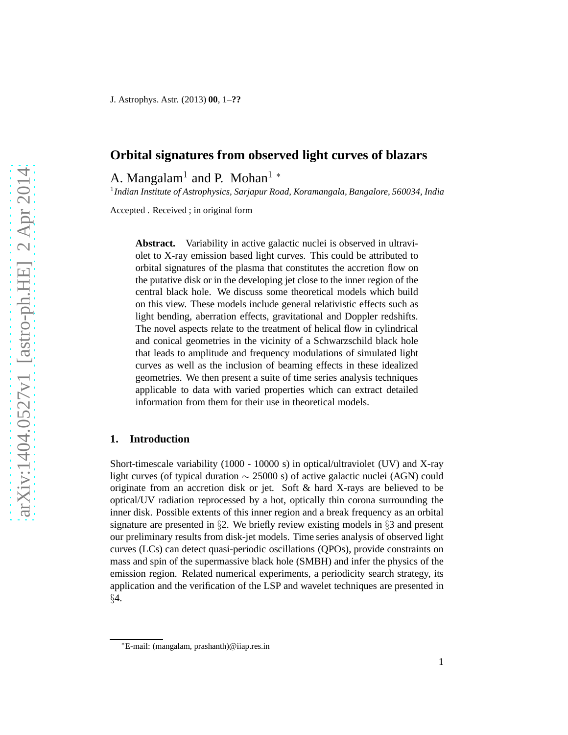# **Orbital signatures from observed light curves of blazars**

A. Mangalam<sup>1</sup> and P. Mohan<sup>1</sup>  $*$ 

1 *Indian Institute of Astrophysics, Sarjapur Road, Koramangala, Bangalore, 560034, India*

Accepted . Received ; in original form

**Abstract.** Variability in active galactic nuclei is observed in ultraviolet to X-ray emission based light curves. This could be attributed to orbital signatures of the plasma that constitutes the accretion flow on the putative disk or in the developing jet close to the inner region of the central black hole. We discuss some theoretical models which build on this view. These models include general relativistic effects such as light bending, aberration effects, gravitational and Doppler redshifts. The novel aspects relate to the treatment of helical flow in cylindrical and conical geometries in the vicinity of a Schwarzschild black hole that leads to amplitude and frequency modulations of simulated light curves as well as the inclusion of beaming effects in these idealized geometries. We then present a suite of time series analysis techniques applicable to data with varied properties which can extract detailed information from them for their use in theoretical models.

## **1. Introduction**

Short-timescale variability (1000 - 10000 s) in optical/ultraviolet (UV) and X-ray light curves (of typical duration  $\sim$  25000 s) of active galactic nuclei (AGN) could originate from an accretion disk or jet. Soft  $\&$  hard X-rays are believed to be optical/UV radiation reprocessed by a hot, optically thin corona surrounding the inner disk. Possible extents of this inner region and a break frequency as an orbital signature are presented in §2. We briefly review existing models in §3 and present our preliminary results from disk-jet models. Time series analysis of observed light curves (LCs) can detect quasi-periodic oscillations (QPOs), provide constraints on mass and spin of the supermassive black hole (SMBH) and infer the physics of the emission region. Related numerical experiments, a periodicity search strategy, its application and the verification of the LSP and wavelet techniques are presented in §4.

<sup>∗</sup>E-mail: (mangalam, prashanth)@iiap.res.in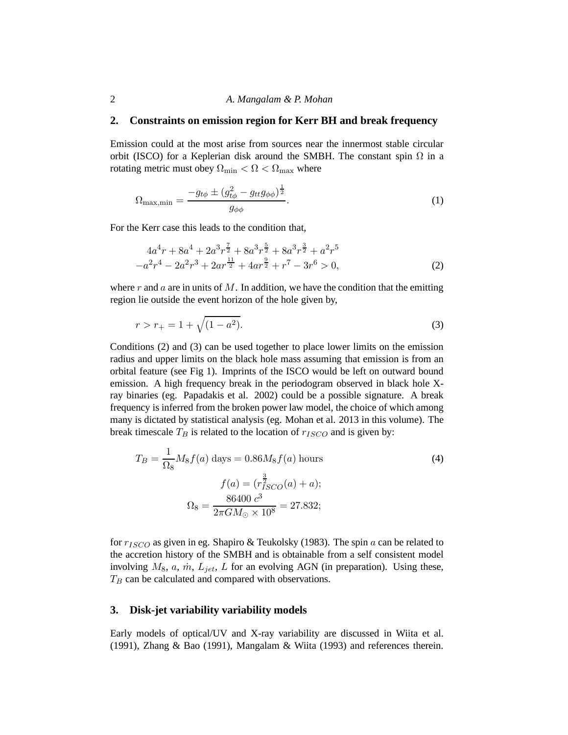#### 2 *A. Mangalam & P. Mohan*

### **2. Constraints on emission region for Kerr BH and break frequency**

Emission could at the most arise from sources near the innermost stable circular orbit (ISCO) for a Keplerian disk around the SMBH. The constant spin  $\Omega$  in a rotating metric must obey  $\Omega_{\text{min}} < \Omega < \Omega_{\text{max}}$  where

$$
\Omega_{\text{max,min}} = \frac{-g_{t\phi} \pm (g_{t\phi}^2 - g_{tt}g_{\phi\phi})^{\frac{1}{2}}}{g_{\phi\phi}}.
$$
\n(1)

For the Kerr case this leads to the condition that,

$$
4a^{4}r + 8a^{4} + 2a^{3}r^{\frac{7}{2}} + 8a^{3}r^{\frac{5}{2}} + 8a^{3}r^{\frac{3}{2}} + a^{2}r^{5}
$$
  

$$
-a^{2}r^{4} - 2a^{2}r^{3} + 2ar^{\frac{11}{2}} + 4ar^{\frac{9}{2}} + r^{7} - 3r^{6} > 0,
$$
 (2)

where r and a are in units of M. In addition, we have the condition that the emitting region lie outside the event horizon of the hole given by,

$$
r > r_{+} = 1 + \sqrt{(1 - a^{2})}.
$$
\n(3)

Conditions (2) and (3) can be used together to place lower limits on the emission radius and upper limits on the black hole mass assuming that emission is from an orbital feature (see Fig 1). Imprints of the ISCO would be left on outward bound emission. A high frequency break in the periodogram observed in black hole Xray binaries (eg. Papadakis et al. 2002) could be a possible signature. A break frequency is inferred from the broken power law model, the choice of which among many is dictated by statistical analysis (eg. Mohan et al. 2013 in this volume). The break timescale  $T_B$  is related to the location of  $r_{ISCO}$  and is given by:

$$
T_B = \frac{1}{\Omega_8} M_8 f(a) \text{ days} = 0.86 M_8 f(a) \text{ hours}
$$
  

$$
f(a) = (r_{ISCO}^{\frac{3}{2}}(a) + a);
$$
  

$$
\Omega_8 = \frac{86400 c^3}{2\pi G M_\odot \times 10^8} = 27.832;
$$
 (4)

for  $r_{ISCO}$  as given in eg. Shapiro & Teukolsky (1983). The spin a can be related to the accretion history of the SMBH and is obtainable from a self consistent model involving  $M_8$ , a,  $\dot{m}$ ,  $L_{jet}$ ,  $L$  for an evolving AGN (in preparation). Using these,  $T_B$  can be calculated and compared with observations.

## **3. Disk-jet variability variability models**

Early models of optical/UV and X-ray variability are discussed in Wiita et al. (1991), Zhang & Bao (1991), Mangalam & Wiita (1993) and references therein.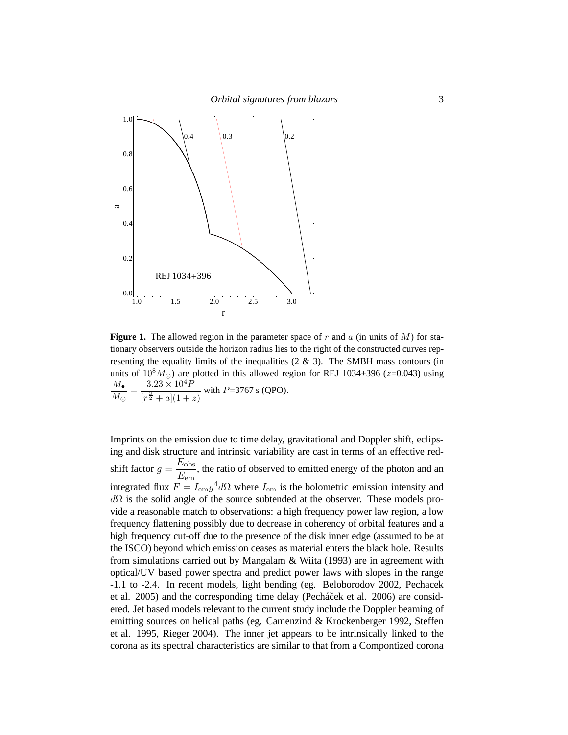

**Figure 1.** The allowed region in the parameter space of r and a (in units of  $M$ ) for stationary observers outside the horizon radius lies to the right of the constructed curves representing the equality limits of the inequalities  $(2 \& 3)$ . The SMBH mass contours (in units of  $10^8 M_{\odot}$ ) are plotted in this allowed region for REJ 1034+396 ( $z=0.043$ ) using  $M_{\bullet}$  $\frac{M_{\bullet}}{M_{\odot}} = \frac{3.23 \times 10^4 P}{[r^{\frac{3}{2}} + a](1 + x)}$  $[r^{\frac{3}{2}}+a](1+z)$ with  $P=3767$  s (QPO).

Imprints on the emission due to time delay, gravitational and Doppler shift, eclipsing and disk structure and intrinsic variability are cast in terms of an effective redshift factor  $g = \frac{E_{\text{obs}}}{E}$  $\frac{L_{\text{obs}}}{E_{\text{em}}}$ , the ratio of observed to emitted energy of the photon and an integrated flux  $F = I_{\text{em}} g^4 d\Omega$  where  $I_{\text{em}}$  is the bolometric emission intensity and  $d\Omega$  is the solid angle of the source subtended at the observer. These models provide a reasonable match to observations: a high frequency power law region, a low frequency flattening possibly due to decrease in coherency of orbital features and a high frequency cut-off due to the presence of the disk inner edge (assumed to be at the ISCO) beyond which emission ceases as material enters the black hole. Results from simulations carried out by Mangalam  $\&$  Wiita (1993) are in agreement with optical/UV based power spectra and predict power laws with slopes in the range -1.1 to -2.4. In recent models, light bending (eg. Beloborodov 2002, Pechacek et al. 2005) and the corresponding time delay (Pecháček et al. 2006) are considered. Jet based models relevant to the current study include the Doppler beaming of emitting sources on helical paths (eg. Camenzind & Krockenberger 1992, Steffen et al. 1995, Rieger 2004). The inner jet appears to be intrinsically linked to the corona as its spectral characteristics are similar to that from a Compontized corona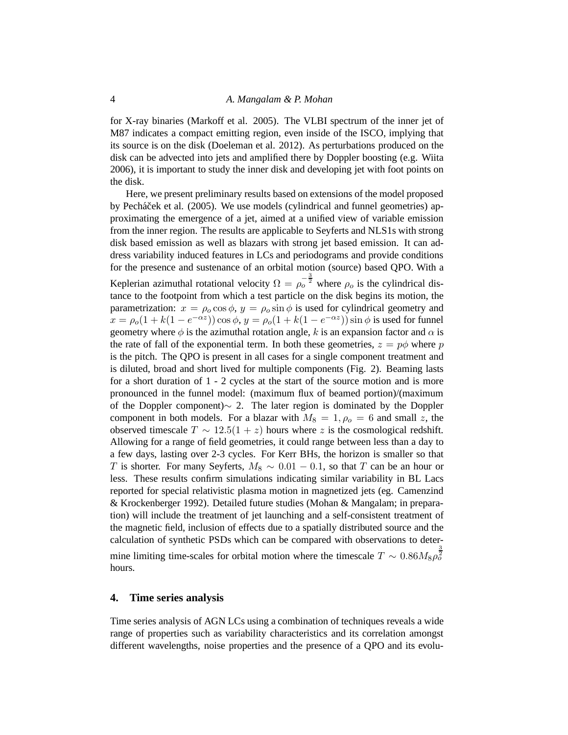#### 4 *A. Mangalam & P. Mohan*

for X-ray binaries (Markoff et al. 2005). The VLBI spectrum of the inner jet of M87 indicates a compact emitting region, even inside of the ISCO, implying that its source is on the disk (Doeleman et al. 2012). As perturbations produced on the disk can be advected into jets and amplified there by Doppler boosting (e.g. Wiita 2006), it is important to study the inner disk and developing jet with foot points on the disk.

Here, we present preliminary results based on extensions of the model proposed by Pecháček et al. (2005). We use models (cylindrical and funnel geometries) approximating the emergence of a jet, aimed at a unified view of variable emission from the inner region. The results are applicable to Seyferts and NLS1s with strong disk based emission as well as blazars with strong jet based emission. It can address variability induced features in LCs and periodograms and provide conditions for the presence and sustenance of an orbital motion (source) based QPO. With a Keplerian azimuthal rotational velocity  $\Omega = \rho_0^{-\frac{3}{2}}$  where  $\rho_0$  is the cylindrical distance to the footpoint from which a test particle on the disk begins its motion, the parametrization:  $x = \rho_0 \cos \phi$ ,  $y = \rho_0 \sin \phi$  is used for cylindrical geometry and  $x = \rho_o(1 + k(1 - e^{-\alpha z})) \cos \phi$ ,  $y = \rho_o(1 + k(1 - e^{-\alpha z})) \sin \phi$  is used for funnel geometry where  $\phi$  is the azimuthal rotation angle, k is an expansion factor and  $\alpha$  is the rate of fall of the exponential term. In both these geometries,  $z = p\phi$  where p is the pitch. The QPO is present in all cases for a single component treatment and is diluted, broad and short lived for multiple components (Fig. 2). Beaming lasts for a short duration of 1 - 2 cycles at the start of the source motion and is more pronounced in the funnel model: (maximum flux of beamed portion)/(maximum of the Doppler component)∼ 2. The later region is dominated by the Doppler component in both models. For a blazar with  $M_8 = 1, \rho_0 = 6$  and small z, the observed timescale  $T \sim 12.5(1 + z)$  hours where z is the cosmological redshift. Allowing for a range of field geometries, it could range between less than a day to a few days, lasting over 2-3 cycles. For Kerr BHs, the horizon is smaller so that T is shorter. For many Seyferts,  $M_8 \sim 0.01 - 0.1$ , so that T can be an hour or less. These results confirm simulations indicating similar variability in BL Lacs reported for special relativistic plasma motion in magnetized jets (eg. Camenzind & Krockenberger 1992). Detailed future studies (Mohan & Mangalam; in preparation) will include the treatment of jet launching and a self-consistent treatment of the magnetic field, inclusion of effects due to a spatially distributed source and the calculation of synthetic PSDs which can be compared with observations to determine limiting time-scales for orbital motion where the timescale  $T \sim 0.86 M_8 \rho_0^{\frac{3}{2}}$ hours.

#### **4. Time series analysis**

Time series analysis of AGN LCs using a combination of techniques reveals a wide range of properties such as variability characteristics and its correlation amongst different wavelengths, noise properties and the presence of a QPO and its evolu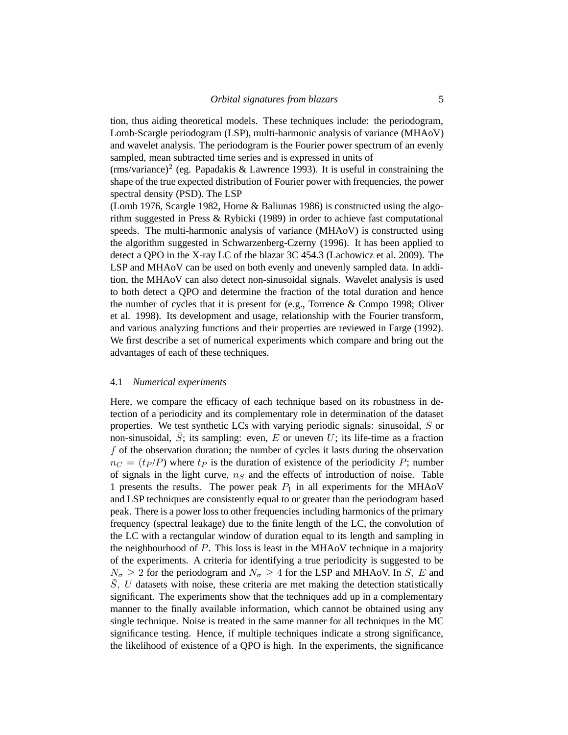tion, thus aiding theoretical models. These techniques include: the periodogram, Lomb-Scargle periodogram (LSP), multi-harmonic analysis of variance (MHAoV) and wavelet analysis. The periodogram is the Fourier power spectrum of an evenly sampled, mean subtracted time series and is expressed in units of

(rms/variance)<sup>2</sup> (eg. Papadakis & Lawrence 1993). It is useful in constraining the shape of the true expected distribution of Fourier power with frequencies, the power spectral density (PSD). The LSP

(Lomb 1976, Scargle 1982, Horne & Baliunas 1986) is constructed using the algorithm suggested in Press & Rybicki (1989) in order to achieve fast computational speeds. The multi-harmonic analysis of variance (MHAoV) is constructed using the algorithm suggested in Schwarzenberg-Czerny (1996). It has been applied to detect a QPO in the X-ray LC of the blazar 3C 454.3 (Lachowicz et al. 2009). The LSP and MHAoV can be used on both evenly and unevenly sampled data. In addition, the MHAoV can also detect non-sinusoidal signals. Wavelet analysis is used to both detect a QPO and determine the fraction of the total duration and hence the number of cycles that it is present for (e.g., Torrence & Compo 1998; Oliver et al. 1998). Its development and usage, relationship with the Fourier transform, and various analyzing functions and their properties are reviewed in Farge (1992). We first describe a set of numerical experiments which compare and bring out the advantages of each of these techniques.

#### 4.1 *Numerical experiments*

Here, we compare the efficacy of each technique based on its robustness in detection of a periodicity and its complementary role in determination of the dataset properties. We test synthetic LCs with varying periodic signals: sinusoidal, S or non-sinusoidal,  $\overline{S}$ ; its sampling: even, E or uneven U; its life-time as a fraction f of the observation duration; the number of cycles it lasts during the observation  $n_C = (t_P / P)$  where  $t_P$  is the duration of existence of the periodicity P; number of signals in the light curve,  $n<sub>S</sub>$  and the effects of introduction of noise. Table 1 presents the results. The power peak  $P_1$  in all experiments for the MHAoV and LSP techniques are consistently equal to or greater than the periodogram based peak. There is a power loss to other frequencies including harmonics of the primary frequency (spectral leakage) due to the finite length of the LC, the convolution of the LC with a rectangular window of duration equal to its length and sampling in the neighbourhood of  $P$ . This loss is least in the MHA<sub>O</sub>V technique in a majority of the experiments. A criteria for identifying a true periodicity is suggested to be  $N_{\sigma} \geq 2$  for the periodogram and  $N_{\sigma} \geq 4$  for the LSP and MHAoV. In S, E and  $S, U$  datasets with noise, these criteria are met making the detection statistically significant. The experiments show that the techniques add up in a complementary manner to the finally available information, which cannot be obtained using any single technique. Noise is treated in the same manner for all techniques in the MC significance testing. Hence, if multiple techniques indicate a strong significance, the likelihood of existence of a QPO is high. In the experiments, the significance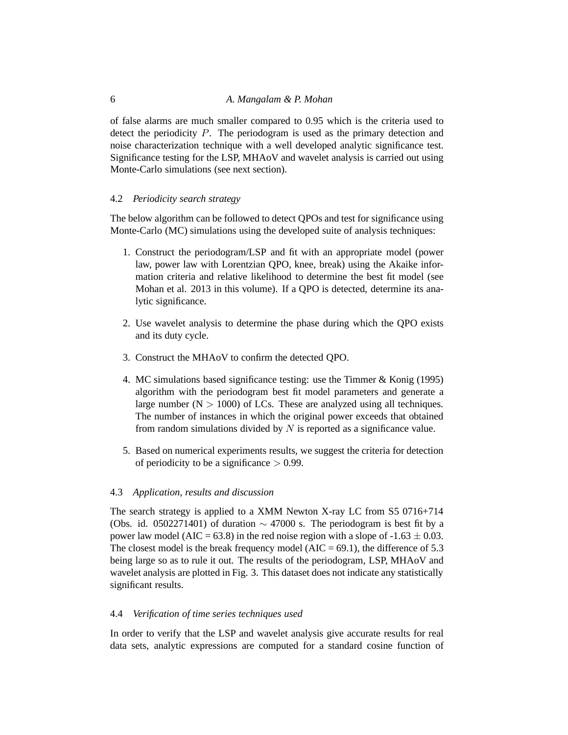of false alarms are much smaller compared to 0.95 which is the criteria used to detect the periodicity P. The periodogram is used as the primary detection and noise characterization technique with a well developed analytic significance test. Significance testing for the LSP, MHAoV and wavelet analysis is carried out using Monte-Carlo simulations (see next section).

## 4.2 *Periodicity search strategy*

The below algorithm can be followed to detect QPOs and test for significance using Monte-Carlo (MC) simulations using the developed suite of analysis techniques:

- 1. Construct the periodogram/LSP and fit with an appropriate model (power law, power law with Lorentzian QPO, knee, break) using the Akaike information criteria and relative likelihood to determine the best fit model (see Mohan et al. 2013 in this volume). If a QPO is detected, determine its analytic significance.
- 2. Use wavelet analysis to determine the phase during which the QPO exists and its duty cycle.
- 3. Construct the MHAoV to confirm the detected QPO.
- 4. MC simulations based significance testing: use the Timmer & Konig (1995) algorithm with the periodogram best fit model parameters and generate a large number ( $N > 1000$ ) of LCs. These are analyzed using all techniques. The number of instances in which the original power exceeds that obtained from random simulations divided by  $N$  is reported as a significance value.
- 5. Based on numerical experiments results, we suggest the criteria for detection of periodicity to be a significance  $> 0.99$ .

#### 4.3 *Application, results and discussion*

The search strategy is applied to a XMM Newton X-ray LC from S5 0716+714 (Obs. id. 0502271401) of duration  $\sim$  47000 s. The periodogram is best fit by a power law model (AIC = 63.8) in the red noise region with a slope of  $-1.63 \pm 0.03$ . The closest model is the break frequency model ( $AIC = 69.1$ ), the difference of 5.3 being large so as to rule it out. The results of the periodogram, LSP, MHAoV and wavelet analysis are plotted in Fig. 3. This dataset does not indicate any statistically significant results.

### 4.4 *Verification of time series techniques used*

In order to verify that the LSP and wavelet analysis give accurate results for real data sets, analytic expressions are computed for a standard cosine function of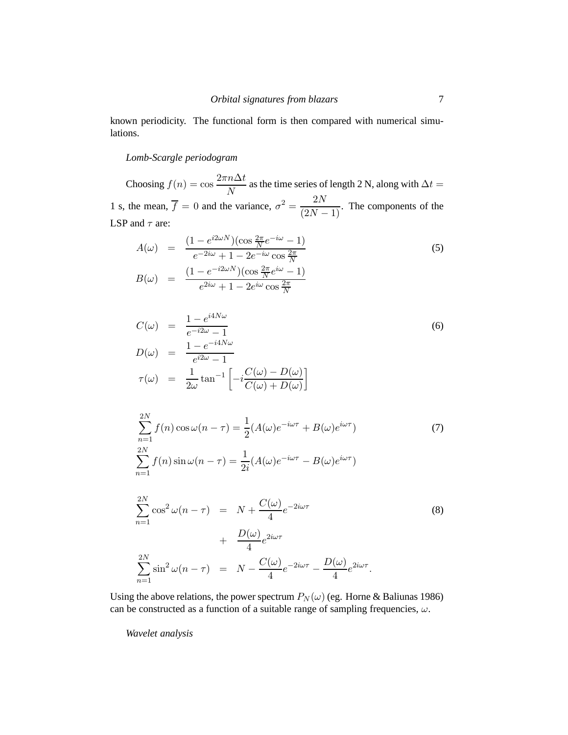known periodicity. The functional form is then compared with numerical simulations.

## *Lomb-Scargle periodogram*

Choosing  $f(n) = \cos \frac{2\pi n \Delta t}{N}$  as the time series of length 2 N, along with  $\Delta t =$ 1 s, the mean,  $\overline{f} = 0$  and the variance,  $\sigma^2 = \frac{2N}{(2N-1)}$ . The components of the LSP and  $\tau$  are:

$$
A(\omega) = \frac{(1 - e^{i2\omega N})(\cos\frac{2\pi}{N}e^{-i\omega} - 1)}{e^{-2i\omega} + 1 - 2e^{-i\omega}\cos\frac{2\pi}{N}}
$$
(5)  

$$
B(\omega) = \frac{(1 - e^{-i2\omega N})(\cos\frac{2\pi}{N}e^{i\omega} - 1)}{e^{2i\omega} + 1 - 2e^{i\omega}\cos\frac{2\pi}{N}}
$$

$$
C(\omega) = \frac{1 - e^{i4N\omega}}{e^{-i2\omega} - 1}
$$
  
\n
$$
D(\omega) = \frac{1 - e^{-i4N\omega}}{e^{i2\omega} - 1}
$$
  
\n
$$
\tau(\omega) = \frac{1}{2\omega} \tan^{-1} \left[ -i \frac{C(\omega) - D(\omega)}{C(\omega) + D(\omega)} \right]
$$
\n(6)

$$
\sum_{n=1}^{2N} f(n) \cos \omega (n - \tau) = \frac{1}{2} (A(\omega)e^{-i\omega \tau} + B(\omega)e^{i\omega \tau})
$$
(7)  

$$
\sum_{n=1}^{2N} f(n) \sin \omega (n - \tau) = \frac{1}{2i} (A(\omega)e^{-i\omega \tau} - B(\omega)e^{i\omega \tau})
$$

$$
\sum_{n=1}^{2N} \cos^2 \omega (n - \tau) = N + \frac{C(\omega)}{4} e^{-2i\omega \tau}
$$
\n
$$
+ \frac{D(\omega)}{4} e^{2i\omega \tau}
$$
\n
$$
\sum_{n=1}^{2N} \sin^2 \omega (n - \tau) = N - \frac{C(\omega)}{4} e^{-2i\omega \tau} - \frac{D(\omega)}{4} e^{2i\omega \tau}.
$$
\n(8)

Using the above relations, the power spectrum  $P_N(\omega)$  (eg. Horne & Baliunas 1986) can be constructed as a function of a suitable range of sampling frequencies,  $\omega$ .

*Wavelet analysis*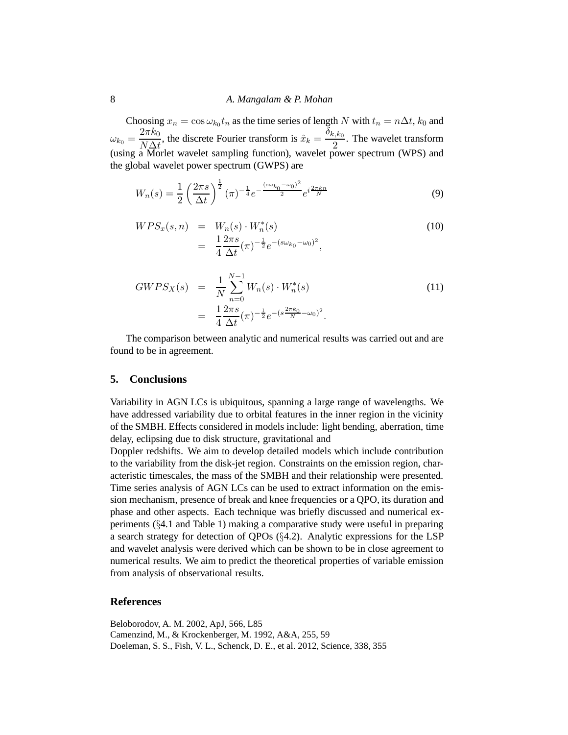## 8 *A. Mangalam & P. Mohan*

Choosing  $x_n = \cos \omega_{k_0} t_n$  as the time series of length N with  $t_n = n\Delta t$ ,  $k_0$  and  $\omega_{k_0} = \frac{2\pi k_0}{N\Delta t}$  $\frac{2\pi k_0}{N\Delta t}$ , the discrete Fourier transform is  $\hat{x}_k = \frac{\delta_{k,k_0}}{2}$  $\frac{2.56}{2}$ . The wavelet transform (using a Morlet wavelet sampling function), wavelet power spectrum (WPS) and the global wavelet power spectrum (GWPS) are

$$
W_n(s) = \frac{1}{2} \left(\frac{2\pi s}{\Delta t}\right)^{\frac{1}{2}} (\pi)^{-\frac{1}{4}} e^{-\frac{(s\omega_{k_0} - \omega_0)^2}{2}} e^{i\frac{2\pi kn}{N}} \tag{9}
$$

$$
WPS_x(s, n) = W_n(s) \cdot W_n^*(s)
$$
  
= 
$$
\frac{1}{4} \frac{2\pi s}{\Delta t} (\pi)^{-\frac{1}{2}} e^{-(s\omega_{k_0} - \omega_0)^2},
$$
 (10)

$$
GWPS_X(s) = \frac{1}{N} \sum_{n=0}^{N-1} W_n(s) \cdot W_n^*(s)
$$
  
= 
$$
\frac{1}{4} \frac{2\pi s}{\Delta t} (\pi)^{-\frac{1}{2}} e^{-(s\frac{2\pi k_0}{N} - \omega_0)^2}.
$$
 (11)

The comparison between analytic and numerical results was carried out and are found to be in agreement.

#### **5. Conclusions**

Variability in AGN LCs is ubiquitous, spanning a large range of wavelengths. We have addressed variability due to orbital features in the inner region in the vicinity of the SMBH. Effects considered in models include: light bending, aberration, time delay, eclipsing due to disk structure, gravitational and

Doppler redshifts. We aim to develop detailed models which include contribution to the variability from the disk-jet region. Constraints on the emission region, characteristic timescales, the mass of the SMBH and their relationship were presented. Time series analysis of AGN LCs can be used to extract information on the emission mechanism, presence of break and knee frequencies or a QPO, its duration and phase and other aspects. Each technique was briefly discussed and numerical experiments (§4.1 and Table 1) making a comparative study were useful in preparing a search strategy for detection of QPOs (§4.2). Analytic expressions for the LSP and wavelet analysis were derived which can be shown to be in close agreement to numerical results. We aim to predict the theoretical properties of variable emission from analysis of observational results.

### **References**

Beloborodov, A. M. 2002, ApJ, 566, L85 Camenzind, M., & Krockenberger, M. 1992, A&A, 255, 59 Doeleman, S. S., Fish, V. L., Schenck, D. E., et al. 2012, Science, 338, 355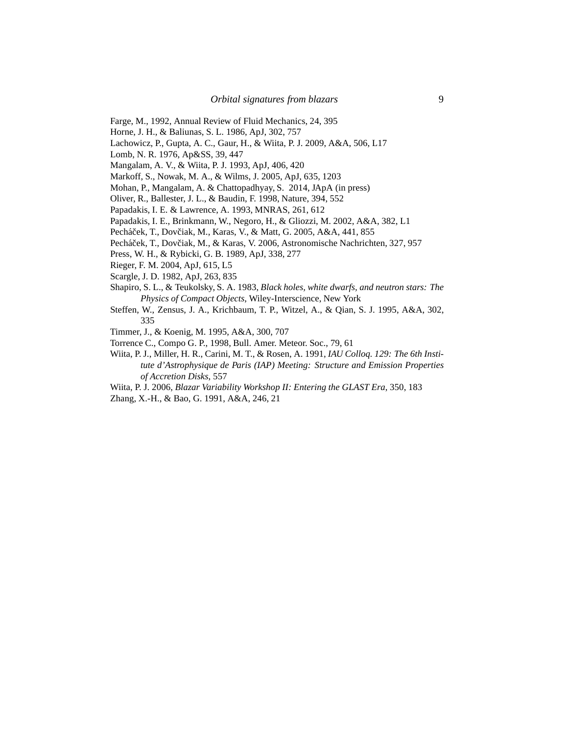- Farge, M., 1992, Annual Review of Fluid Mechanics, 24, 395
- Horne, J. H., & Baliunas, S. L. 1986, ApJ, 302, 757
- Lachowicz, P., Gupta, A. C., Gaur, H., & Wiita, P. J. 2009, A&A, 506, L17
- Lomb, N. R. 1976, Ap&SS, 39, 447
- Mangalam, A. V., & Wiita, P. J. 1993, ApJ, 406, 420
- Markoff, S., Nowak, M. A., & Wilms, J. 2005, ApJ, 635, 1203
- Mohan, P., Mangalam, A. & Chattopadhyay, S. 2014, JApA (in press)
- Oliver, R., Ballester, J. L., & Baudin, F. 1998, Nature, 394, 552
- Papadakis, I. E. & Lawrence, A. 1993, MNRAS, 261, 612
- Papadakis, I. E., Brinkmann, W., Negoro, H., & Gliozzi, M. 2002, A&A, 382, L1
- Pecháček, T., Dovčiak, M., Karas, V., & Matt, G. 2005, A&A, 441, 855
- Pecháček, T., Dovčiak, M., & Karas, V. 2006, Astronomische Nachrichten, 327, 957
- Press, W. H., & Rybicki, G. B. 1989, ApJ, 338, 277
- Rieger, F. M. 2004, ApJ, 615, L5
- Scargle, J. D. 1982, ApJ, 263, 835
- Shapiro, S. L., & Teukolsky, S. A. 1983, *Black holes, white dwarfs, and neutron stars: The Physics of Compact Objects*, Wiley-Interscience, New York
- Steffen, W., Zensus, J. A., Krichbaum, T. P., Witzel, A., & Qian, S. J. 1995, A&A, 302, 335
- Timmer, J., & Koenig, M. 1995, A&A, 300, 707
- Torrence C., Compo G. P., 1998, Bull. Amer. Meteor. Soc., 79, 61
- Wiita, P. J., Miller, H. R., Carini, M. T., & Rosen, A. 1991, *IAU Colloq. 129: The 6th Institute d'Astrophysique de Paris (IAP) Meeting: Structure and Emission Properties of Accretion Disks*, 557
- Wiita, P. J. 2006, *Blazar Variability Workshop II: Entering the GLAST Era*, 350, 183
- Zhang, X.-H., & Bao, G. 1991, A&A, 246, 21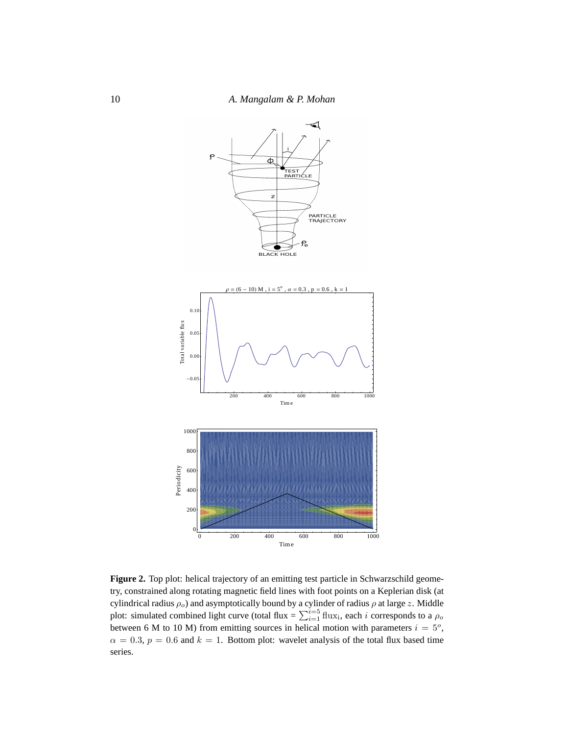

Figure 2. Top plot: helical trajectory of an emitting test particle in Schwarzschild geometry, constrained along rotating magnetic field lines with foot points on a Keplerian disk (at cylindrical radius  $\rho_o$ ) and asymptotically bound by a cylinder of radius  $\rho$  at large z. Middle plot: simulated combined light curve (total flux =  $\sum_{i=1}^{i=5}$  flux<sub>i</sub>, each *i* corresponds to a  $\rho_o$ between 6 M to 10 M) from emitting sources in helical motion with parameters  $i = 5^\circ$ ,  $\alpha = 0.3$ ,  $p = 0.6$  and  $k = 1$ . Bottom plot: wavelet analysis of the total flux based time series.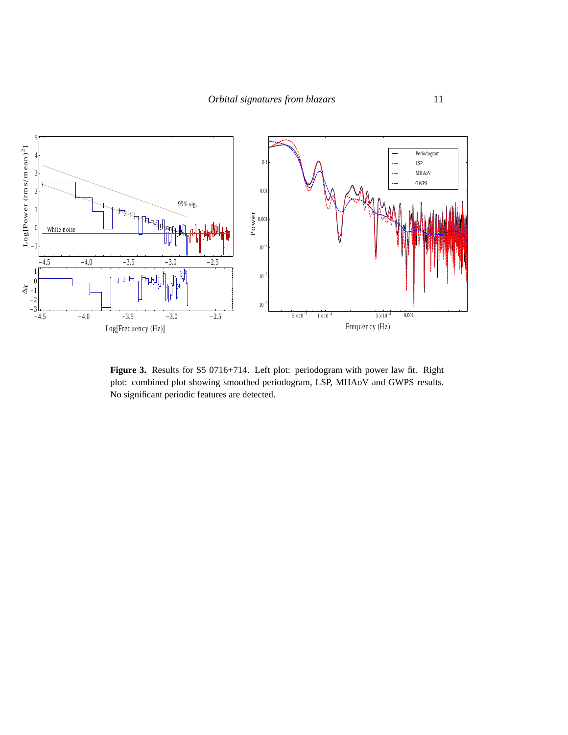

**Figure 3.** Results for S5 0716+714. Left plot: periodogram with power law fit. Right plot: combined plot showing smoothed periodogram, LSP, MHAoV and GWPS results. No significant periodic features are detected.